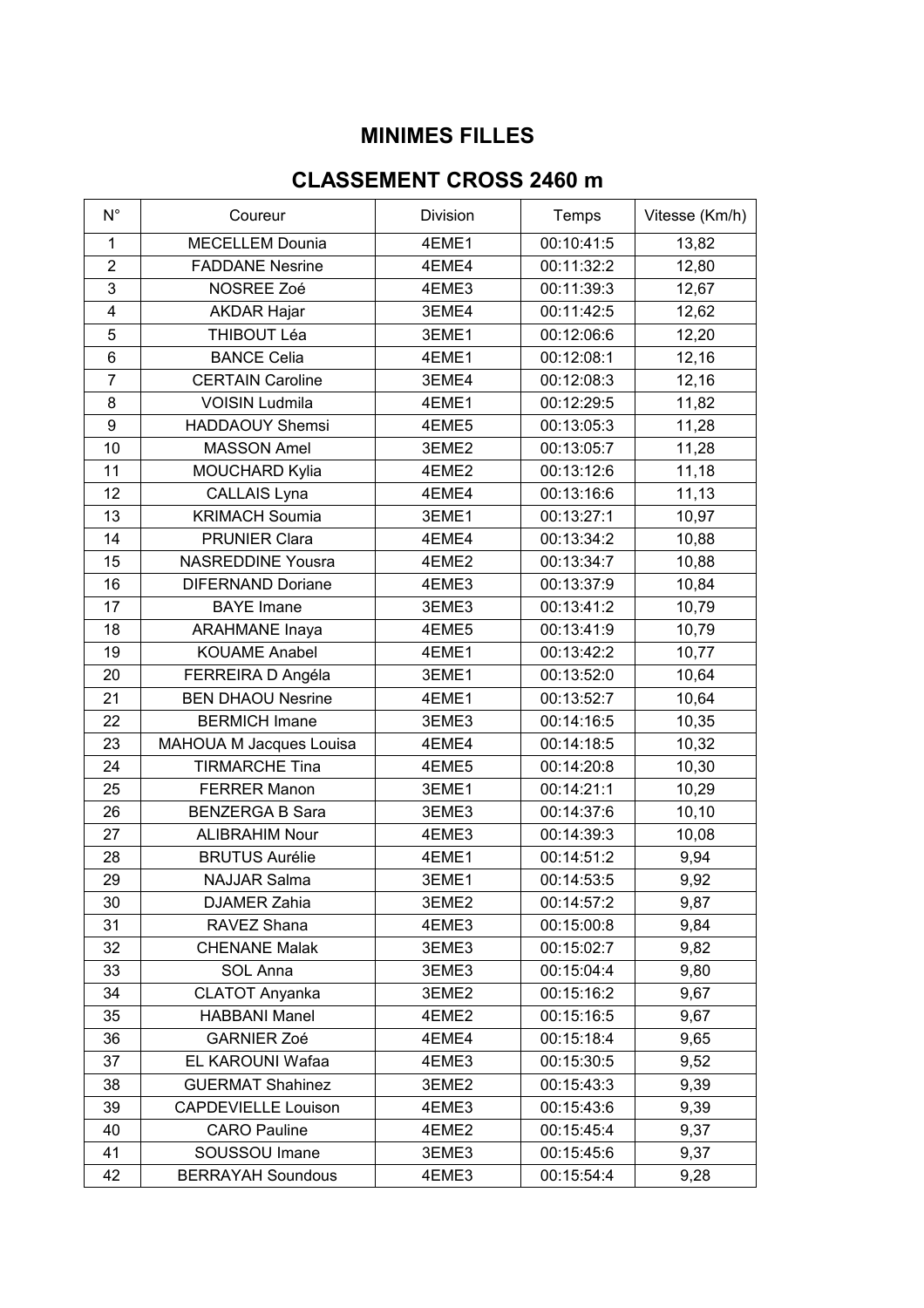## **MINIMES FILLES**

## **CLASSEMENT CROSS 2460 m**

| $N^{\circ}$      | Coureur                    | Division | Temps      | Vitesse (Km/h) |
|------------------|----------------------------|----------|------------|----------------|
| $\mathbf{1}$     | <b>MECELLEM Dounia</b>     | 4EME1    | 00:10:41:5 | 13,82          |
| $\overline{2}$   | <b>FADDANE Nesrine</b>     | 4EME4    | 00:11:32:2 | 12,80          |
| 3                | NOSREE Zoé                 | 4EME3    | 00:11:39:3 | 12,67          |
| 4                | <b>AKDAR Hajar</b>         | 3EME4    | 00:11:42:5 | 12,62          |
| 5                | THIBOUT Léa                | 3EME1    | 00:12:06:6 | 12,20          |
| 6                | <b>BANCE Celia</b>         | 4EME1    | 00:12:08:1 | 12,16          |
| $\overline{7}$   | <b>CERTAIN Caroline</b>    | 3EME4    | 00:12:08:3 | 12,16          |
| 8                | <b>VOISIN Ludmila</b>      | 4EME1    | 00:12:29:5 | 11,82          |
| $\boldsymbol{9}$ | <b>HADDAOUY Shemsi</b>     | 4EME5    | 00:13:05:3 | 11,28          |
| 10               | <b>MASSON Amel</b>         | 3EME2    | 00:13:05:7 | 11,28          |
| 11               | MOUCHARD Kylia             | 4EME2    | 00:13:12:6 | 11,18          |
| 12               | CALLAIS Lyna               | 4EME4    | 00:13:16:6 | 11,13          |
| 13               | <b>KRIMACH Soumia</b>      | 3EME1    | 00:13:27:1 | 10,97          |
| 14               | <b>PRUNIER Clara</b>       | 4EME4    | 00:13:34:2 | 10,88          |
| 15               | <b>NASREDDINE Yousra</b>   | 4EME2    | 00:13:34:7 | 10,88          |
| 16               | <b>DIFERNAND Doriane</b>   | 4EME3    | 00:13:37:9 | 10,84          |
| 17               | <b>BAYE</b> Imane          | 3EME3    | 00:13:41:2 | 10,79          |
| 18               | <b>ARAHMANE Inaya</b>      | 4EME5    | 00:13:41:9 | 10,79          |
| 19               | <b>KOUAME Anabel</b>       | 4EME1    | 00:13:42:2 | 10,77          |
| 20               | FERREIRA D Angéla          | 3EME1    | 00:13:52:0 | 10,64          |
| 21               | <b>BEN DHAOU Nesrine</b>   | 4EME1    | 00:13:52:7 | 10,64          |
| 22               | <b>BERMICH Imane</b>       | 3EME3    | 00:14:16:5 | 10,35          |
| 23               | MAHOUA M Jacques Louisa    | 4EME4    | 00:14:18:5 | 10,32          |
| 24               | <b>TIRMARCHE Tina</b>      | 4EME5    | 00:14:20:8 | 10,30          |
| 25               | <b>FERRER Manon</b>        | 3EME1    | 00:14:21:1 | 10,29          |
| 26               | <b>BENZERGA B Sara</b>     | 3EME3    | 00:14:37:6 | 10, 10         |
| 27               | <b>ALIBRAHIM Nour</b>      | 4EME3    | 00:14:39:3 | 10,08          |
| 28               | <b>BRUTUS Aurélie</b>      | 4EME1    | 00:14:51:2 | 9,94           |
| 29               | <b>NAJJAR Salma</b>        | 3EME1    | 00:14:53:5 | 9,92           |
| 30               | DJAMER Zahia               | 3EME2    | 00:14:57:2 | 9,87           |
| 31               | RAVEZ Shana                | 4EME3    | 00:15:00:8 | 9,84           |
| 32               | <b>CHENANE Malak</b>       | 3EME3    | 00:15:02:7 | 9,82           |
| 33               | SOL Anna                   | 3EME3    | 00:15:04:4 | 9,80           |
| 34               | <b>CLATOT Anyanka</b>      | 3EME2    | 00:15:16:2 | 9,67           |
| 35               | <b>HABBANI Manel</b>       | 4EME2    | 00:15:16:5 | 9,67           |
| 36               | <b>GARNIER Zoé</b>         | 4EME4    | 00:15:18:4 | 9,65           |
| 37               | EL KAROUNI Wafaa           | 4EME3    | 00:15:30:5 | 9,52           |
| 38               | <b>GUERMAT Shahinez</b>    | 3EME2    | 00:15:43:3 | 9,39           |
| 39               | <b>CAPDEVIELLE Louison</b> | 4EME3    | 00:15:43:6 | 9,39           |
| 40               | <b>CARO Pauline</b>        | 4EME2    | 00:15:45:4 | 9,37           |
| 41               | SOUSSOU Imane              | 3EME3    | 00:15:45:6 | 9,37           |
| 42               | <b>BERRAYAH Soundous</b>   | 4EME3    | 00:15:54:4 | 9,28           |